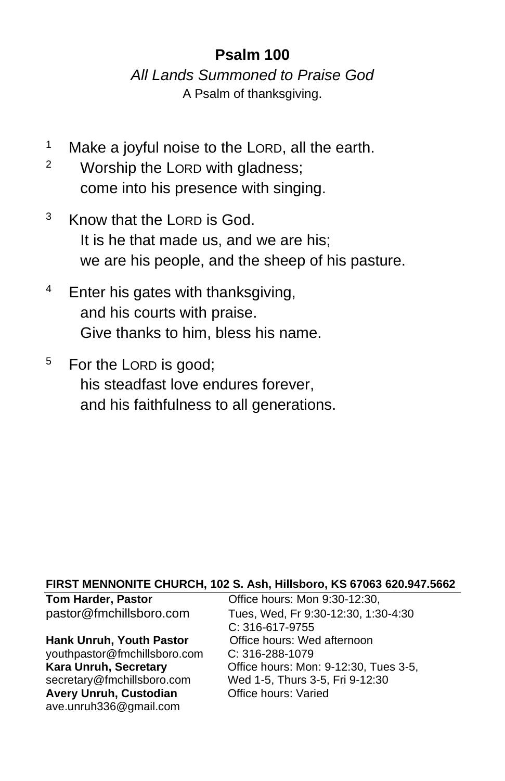# **Psalm 100**

*All Lands Summoned to Praise God* A Psalm of thanksgiving.

- <sup>1</sup> Make a joyful noise to the LORD, all the earth.
- <sup>2</sup> Worship the LORD with gladness; come into his presence with singing.
- <sup>3</sup> Know that the LORD is God. It is he that made us, and we are his; we are his people, and the sheep of his pasture.
- $4$  Enter his gates with thanksgiving, and his courts with praise. Give thanks to him, bless his name.
- <sup>5</sup> For the LORD is good; his steadfast love endures forever, and his faithfulness to all generations.

#### **FIRST MENNONITE CHURCH, 102 S. Ash, Hillsboro, KS 67063 620.947.5662**

#### **Hank Unruh, Youth Pastor Office hours: Wed afternoon**

[youthpastor@fmchillsboro.com](mailto:youthpastor@fmchillsboro.com) C: 316-288-1079 Avery Unruh, Custodian **Office hours: Varied** ave.unruh336@gmail.com

**Tom Harder, Pastor Conservery Conservery Conservery Paraders**, Paraders, 2001 pastor@fmchillsboro.com Tues, Wed, Fr 9:30-12:30, 1:30-4:30 C: 316-617-9755 **Office hours: Mon: 9-12:30, Tues 3-5,** secretary@fmchillsboro.com Wed 1-5, Thurs 3-5, Fri 9-12:30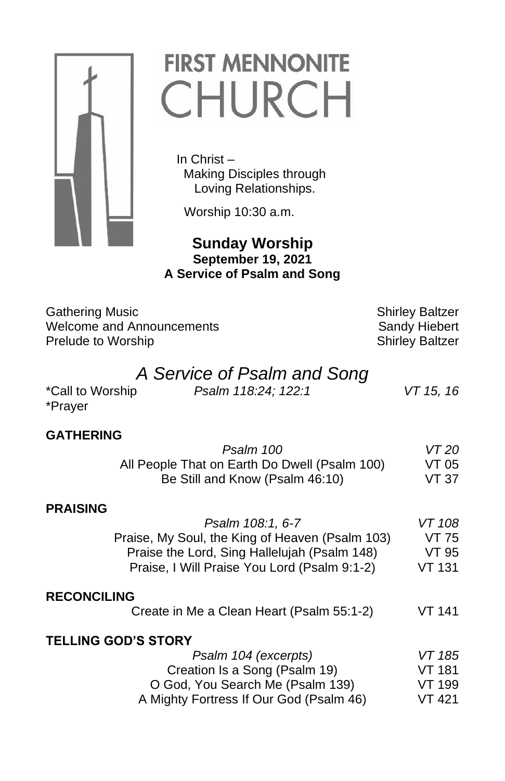

# **FIRST MENNONITE** CHURCH

 In Christ – Making Disciples through Loving Relationships.

Worship 10:30 a.m.

 **Sunday Worship September 19, 2021 A Service of Psalm and Song**

| <b>Gathering Music</b>    |
|---------------------------|
| Welcome and Announcements |
| Prelude to Worship        |
|                           |

Shirley Baltzer Sandy Hiebert

# **Shirley Baltzer** *A Service of Psalm and Song* \*Call to Worship *Psalm 118:24; 122:1 VT 15, 16* \*Prayer **GATHERING** *Psalm 100 VT 20* All People That on Earth Do Dwell (Psalm 100) VT 05 Be Still and Know (Psalm 46:10) VT 37 **PRAISING** *Psalm 108:1, 6-7 VT 108* Praise, My Soul, the King of Heaven (Psalm 103) VT 75 Praise the Lord, Sing Hallelujah (Psalm 148) VT 95 Praise, I Will Praise You Lord (Psalm 9:1-2) VT 131 **RECONCILING** Create in Me a Clean Heart (Psalm 55:1-2) VT 141 **TELLING GOD'S STORY** *Psalm 104 (excerpts) VT 185* Creation Is a Song (Psalm 19) VT 181 O God, You Search Me (Psalm 139) VT 199 A Mighty Fortress If Our God (Psalm 46) VT 421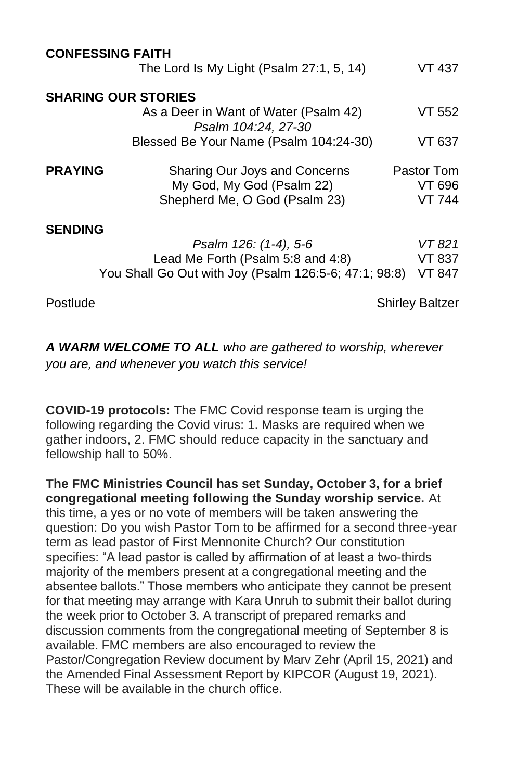| <b>CONFESSING FAITH</b>    |                                                              |                        |  |
|----------------------------|--------------------------------------------------------------|------------------------|--|
|                            | The Lord Is My Light (Psalm 27:1, 5, 14)                     | VT 437                 |  |
| <b>SHARING OUR STORIES</b> |                                                              |                        |  |
|                            | As a Deer in Want of Water (Psalm 42)<br>Psalm 104:24, 27-30 | VT 552                 |  |
|                            | Blessed Be Your Name (Psalm 104:24-30)                       | VT 637.                |  |
| <b>PRAYING</b>             | Sharing Our Joys and Concerns                                | Pastor Tom             |  |
|                            | My God, My God (Psalm 22)                                    | VT 696                 |  |
|                            | Shepherd Me, O God (Psalm 23)                                | <b>VT 744</b>          |  |
| <b>SENDING</b>             |                                                              |                        |  |
|                            | Psalm 126: (1-4), 5-6                                        | VT 821                 |  |
|                            | Lead Me Forth (Psalm 5:8 and 4:8)                            | VT 837                 |  |
|                            | You Shall Go Out with Joy (Psalm 126:5-6; 47:1; 98:8)        | VT 847                 |  |
| Postlude                   |                                                              | <b>Shirley Baltzer</b> |  |

*A WARM WELCOME TO ALL who are gathered to worship, wherever you are, and whenever you watch this service!*

**COVID-19 protocols:** The FMC Covid response team is urging the following regarding the Covid virus: 1. Masks are required when we gather indoors, 2. FMC should reduce capacity in the sanctuary and fellowship hall to 50%.

**The FMC Ministries Council has set Sunday, October 3, for a brief congregational meeting following the Sunday worship service.** At this time, a yes or no vote of members will be taken answering the question: Do you wish Pastor Tom to be affirmed for a second three-year term as lead pastor of First Mennonite Church? Our constitution specifies: "A lead pastor is called by affirmation of at least a two-thirds majority of the members present at a congregational meeting and the absentee ballots." Those members who anticipate they cannot be present for that meeting may arrange with Kara Unruh to submit their ballot during the week prior to October 3. A transcript of prepared remarks and discussion comments from the congregational meeting of September 8 is available. FMC members are also encouraged to review the Pastor/Congregation Review document by Marv Zehr (April 15, 2021) and the Amended Final Assessment Report by KIPCOR (August 19, 2021). These will be available in the church office.